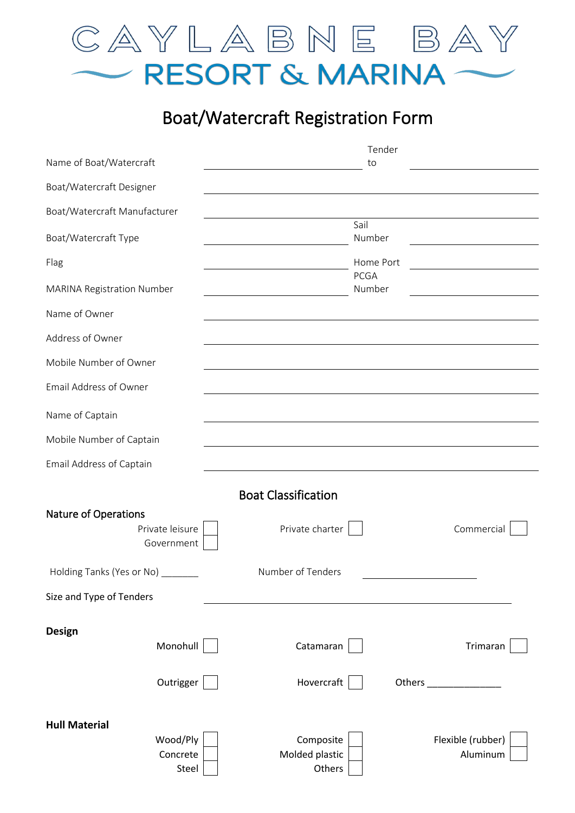

## Boat/Watercraft Registration Form

| Name of Boat/Watercraft                                      |                                       | Tender<br>to                  |
|--------------------------------------------------------------|---------------------------------------|-------------------------------|
| Boat/Watercraft Designer                                     |                                       |                               |
| Boat/Watercraft Manufacturer                                 |                                       |                               |
| Boat/Watercraft Type                                         |                                       | Sail<br>Number                |
| Flag                                                         |                                       | Home Port                     |
| MARINA Registration Number                                   |                                       | <b>PCGA</b><br>Number         |
| Name of Owner                                                |                                       |                               |
| Address of Owner                                             |                                       |                               |
| Mobile Number of Owner                                       |                                       |                               |
| Email Address of Owner                                       |                                       |                               |
| Name of Captain                                              |                                       |                               |
| Mobile Number of Captain                                     |                                       |                               |
| Email Address of Captain                                     |                                       |                               |
|                                                              | <b>Boat Classification</b>            |                               |
| <b>Nature of Operations</b><br>Private leisure<br>Government | Private charter                       | Commercial                    |
| Holding Tanks (Yes or No)                                    | Number of Tenders                     |                               |
| Size and Type of Tenders                                     |                                       |                               |
| <b>Design</b><br>Monohull                                    | Catamaran                             | Trimaran                      |
| Outrigger                                                    | Hovercraft                            |                               |
| <b>Hull Material</b><br>Wood/Ply<br>Concrete<br>Steel        | Composite<br>Molded plastic<br>Others | Flexible (rubber)<br>Aluminum |